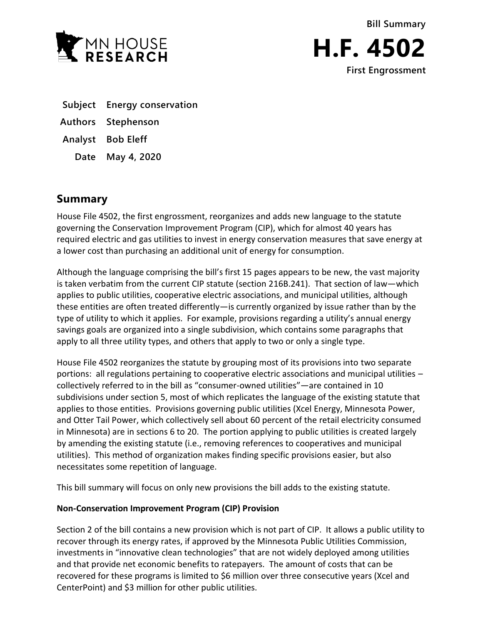



- **Subject Energy conservation**
- **Authors Stephenson**
- **Analyst Bob Eleff**
	- **Date May 4, 2020**

# **Summary**

House File 4502, the first engrossment, reorganizes and adds new language to the statute governing the Conservation Improvement Program (CIP), which for almost 40 years has required electric and gas utilities to invest in energy conservation measures that save energy at a lower cost than purchasing an additional unit of energy for consumption.

Although the language comprising the bill's first 15 pages appears to be new, the vast majority is taken verbatim from the current CIP statute (section 216B.241). That section of law—which applies to public utilities, cooperative electric associations, and municipal utilities, although these entities are often treated differently—is currently organized by issue rather than by the type of utility to which it applies. For example, provisions regarding a utility's annual energy savings goals are organized into a single subdivision, which contains some paragraphs that apply to all three utility types, and others that apply to two or only a single type.

House File 4502 reorganizes the statute by grouping most of its provisions into two separate portions: all regulations pertaining to cooperative electric associations and municipal utilities – collectively referred to in the bill as "consumer-owned utilities"—are contained in 10 subdivisions under section 5, most of which replicates the language of the existing statute that applies to those entities. Provisions governing public utilities (Xcel Energy, Minnesota Power, and Otter Tail Power, which collectively sell about 60 percent of the retail electricity consumed in Minnesota) are in sections 6 to 20. The portion applying to public utilities is created largely by amending the existing statute (i.e., removing references to cooperatives and municipal utilities). This method of organization makes finding specific provisions easier, but also necessitates some repetition of language.

This bill summary will focus on only new provisions the bill adds to the existing statute.

## **Non-Conservation Improvement Program (CIP) Provision**

Section 2 of the bill contains a new provision which is not part of CIP. It allows a public utility to recover through its energy rates, if approved by the Minnesota Public Utilities Commission, investments in "innovative clean technologies" that are not widely deployed among utilities and that provide net economic benefits to ratepayers. The amount of costs that can be recovered for these programs is limited to \$6 million over three consecutive years (Xcel and CenterPoint) and \$3 million for other public utilities.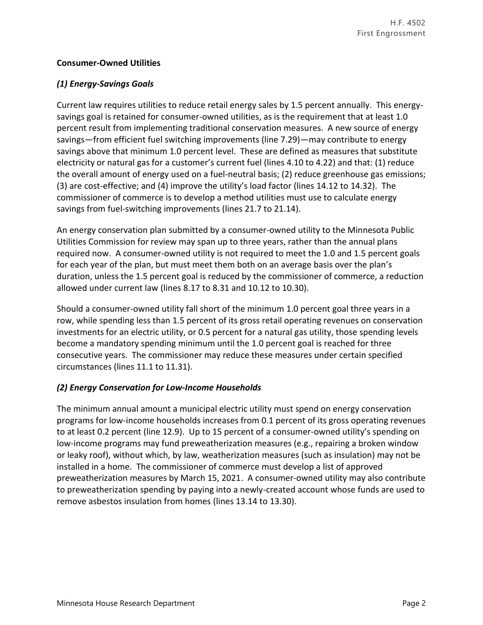#### **Consumer-Owned Utilities**

#### *(1) Energy-Savings Goals*

Current law requires utilities to reduce retail energy sales by 1.5 percent annually. This energysavings goal is retained for consumer-owned utilities, as is the requirement that at least 1.0 percent result from implementing traditional conservation measures. A new source of energy savings—from efficient fuel switching improvements (line 7.29)—may contribute to energy savings above that minimum 1.0 percent level. These are defined as measures that substitute electricity or natural gas for a customer's current fuel (lines 4.10 to 4.22) and that: (1) reduce the overall amount of energy used on a fuel-neutral basis; (2) reduce greenhouse gas emissions; (3) are cost-effective; and (4) improve the utility's load factor (lines 14.12 to 14.32). The commissioner of commerce is to develop a method utilities must use to calculate energy savings from fuel-switching improvements (lines 21.7 to 21.14).

An energy conservation plan submitted by a consumer-owned utility to the Minnesota Public Utilities Commission for review may span up to three years, rather than the annual plans required now. A consumer-owned utility is not required to meet the 1.0 and 1.5 percent goals for each year of the plan, but must meet them both on an average basis over the plan's duration, unless the 1.5 percent goal is reduced by the commissioner of commerce, a reduction allowed under current law (lines 8.17 to 8.31 and 10.12 to 10.30).

Should a consumer-owned utility fall short of the minimum 1.0 percent goal three years in a row, while spending less than 1.5 percent of its gross retail operating revenues on conservation investments for an electric utility, or 0.5 percent for a natural gas utility, those spending levels become a mandatory spending minimum until the 1.0 percent goal is reached for three consecutive years. The commissioner may reduce these measures under certain specified circumstances (lines 11.1 to 11.31).

## *(2) Energy Conservation for Low-Income Households*

The minimum annual amount a municipal electric utility must spend on energy conservation programs for low-income households increases from 0.1 percent of its gross operating revenues to at least 0.2 percent (line 12.9). Up to 15 percent of a consumer-owned utility's spending on low-income programs may fund preweatherization measures (e.g., repairing a broken window or leaky roof), without which, by law, weatherization measures (such as insulation) may not be installed in a home. The commissioner of commerce must develop a list of approved preweatherization measures by March 15, 2021. A consumer-owned utility may also contribute to preweatherization spending by paying into a newly-created account whose funds are used to remove asbestos insulation from homes (lines 13.14 to 13.30).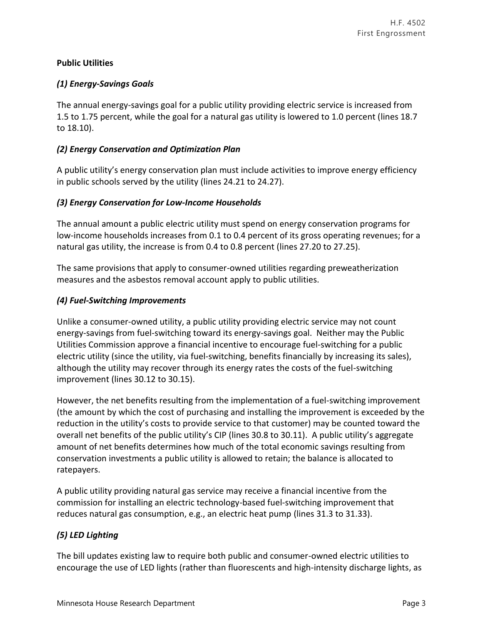## **Public Utilities**

## *(1) Energy-Savings Goals*

The annual energy-savings goal for a public utility providing electric service is increased from 1.5 to 1.75 percent, while the goal for a natural gas utility is lowered to 1.0 percent (lines 18.7 to 18.10).

## *(2) Energy Conservation and Optimization Plan*

A public utility's energy conservation plan must include activities to improve energy efficiency in public schools served by the utility (lines 24.21 to 24.27).

#### *(3) Energy Conservation for Low-Income Households*

The annual amount a public electric utility must spend on energy conservation programs for low-income households increases from 0.1 to 0.4 percent of its gross operating revenues; for a natural gas utility, the increase is from 0.4 to 0.8 percent (lines 27.20 to 27.25).

The same provisions that apply to consumer-owned utilities regarding preweatherization measures and the asbestos removal account apply to public utilities.

#### *(4) Fuel-Switching Improvements*

Unlike a consumer-owned utility, a public utility providing electric service may not count energy-savings from fuel-switching toward its energy-savings goal. Neither may the Public Utilities Commission approve a financial incentive to encourage fuel-switching for a public electric utility (since the utility, via fuel-switching, benefits financially by increasing its sales), although the utility may recover through its energy rates the costs of the fuel-switching improvement (lines 30.12 to 30.15).

However, the net benefits resulting from the implementation of a fuel-switching improvement (the amount by which the cost of purchasing and installing the improvement is exceeded by the reduction in the utility's costs to provide service to that customer) may be counted toward the overall net benefits of the public utility's CIP (lines 30.8 to 30.11). A public utility's aggregate amount of net benefits determines how much of the total economic savings resulting from conservation investments a public utility is allowed to retain; the balance is allocated to ratepayers.

A public utility providing natural gas service may receive a financial incentive from the commission for installing an electric technology-based fuel-switching improvement that reduces natural gas consumption, e.g., an electric heat pump (lines 31.3 to 31.33).

## *(5) LED Lighting*

The bill updates existing law to require both public and consumer-owned electric utilities to encourage the use of LED lights (rather than fluorescents and high-intensity discharge lights, as